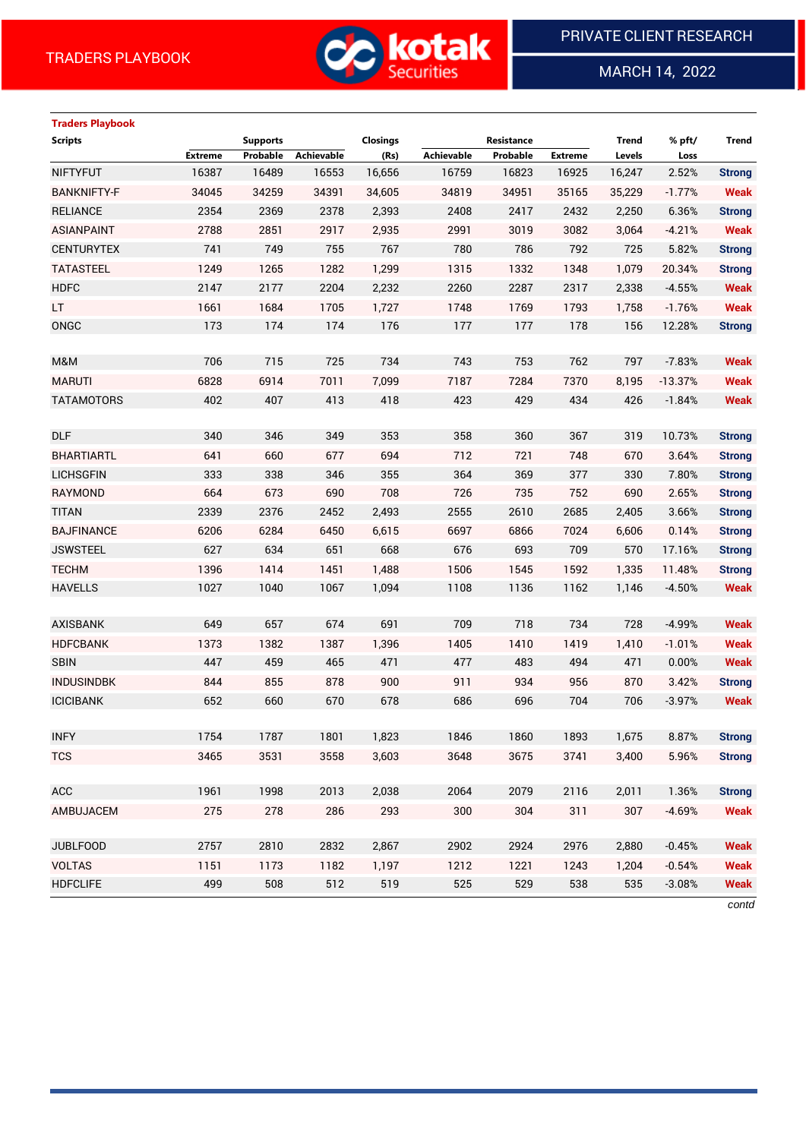

MARCH 14, 2022

 $\overline{a}$ 

# **Traders Playbook**

| <b>Scripts</b>     |                | <b>Supports</b> |            | <b>Closings</b> |            | Resistance |                | <b>Trend</b> | % pft/    | Trend         |
|--------------------|----------------|-----------------|------------|-----------------|------------|------------|----------------|--------------|-----------|---------------|
|                    | <b>Extreme</b> | Probable        | Achievable | (Rs)            | Achievable | Probable   | <b>Extreme</b> | Levels       | Loss      |               |
| <b>NIFTYFUT</b>    | 16387          | 16489           | 16553      | 16,656          | 16759      | 16823      | 16925          | 16,247       | 2.52%     | <b>Strong</b> |
| <b>BANKNIFTY-F</b> | 34045          | 34259           | 34391      | 34,605          | 34819      | 34951      | 35165          | 35,229       | $-1.77%$  | <b>Weak</b>   |
| <b>RELIANCE</b>    | 2354           | 2369            | 2378       | 2,393           | 2408       | 2417       | 2432           | 2,250        | 6.36%     | <b>Strong</b> |
| <b>ASIANPAINT</b>  | 2788           | 2851            | 2917       | 2,935           | 2991       | 3019       | 3082           | 3,064        | $-4.21%$  | <b>Weak</b>   |
| <b>CENTURYTEX</b>  | 741            | 749             | 755        | 767             | 780        | 786        | 792            | 725          | 5.82%     | <b>Strong</b> |
| <b>TATASTEEL</b>   | 1249           | 1265            | 1282       | 1,299           | 1315       | 1332       | 1348           | 1,079        | 20.34%    | <b>Strong</b> |
| <b>HDFC</b>        | 2147           | 2177            | 2204       | 2,232           | 2260       | 2287       | 2317           | 2,338        | $-4.55%$  | <b>Weak</b>   |
| LT.                | 1661           | 1684            | 1705       | 1,727           | 1748       | 1769       | 1793           | 1,758        | $-1.76%$  | <b>Weak</b>   |
| ONGC               | 173            | 174             | 174        | 176             | 177        | 177        | 178            | 156          | 12.28%    | <b>Strong</b> |
|                    |                |                 |            |                 |            |            |                |              |           |               |
| M&M                | 706            | 715             | 725        | 734             | 743        | 753        | 762            | 797          | $-7.83%$  | <b>Weak</b>   |
| <b>MARUTI</b>      | 6828           | 6914            | 7011       | 7,099           | 7187       | 7284       | 7370           | 8,195        | $-13.37%$ | <b>Weak</b>   |
| <b>TATAMOTORS</b>  | 402            | 407             | 413        | 418             | 423        | 429        | 434            | 426          | $-1.84%$  | <b>Weak</b>   |
|                    |                |                 |            |                 |            |            |                |              |           |               |
| <b>DLF</b>         | 340            | 346             | 349        | 353             | 358        | 360        | 367            | 319          | 10.73%    | <b>Strong</b> |
| <b>BHARTIARTL</b>  | 641            | 660             | 677        | 694             | 712        | 721        | 748            | 670          | 3.64%     | <b>Strong</b> |
| <b>LICHSGFIN</b>   | 333            | 338             | 346        | 355             | 364        | 369        | 377            | 330          | 7.80%     | <b>Strong</b> |
| <b>RAYMOND</b>     | 664            | 673             | 690        | 708             | 726        | 735        | 752            | 690          | 2.65%     | <b>Strong</b> |
| <b>TITAN</b>       | 2339           | 2376            | 2452       | 2,493           | 2555       | 2610       | 2685           | 2,405        | 3.66%     | <b>Strong</b> |
| <b>BAJFINANCE</b>  | 6206           | 6284            | 6450       | 6,615           | 6697       | 6866       | 7024           | 6,606        | 0.14%     | <b>Strong</b> |
| <b>JSWSTEEL</b>    | 627            | 634             | 651        | 668             | 676        | 693        | 709            | 570          | 17.16%    | <b>Strong</b> |
| <b>TECHM</b>       | 1396           | 1414            | 1451       | 1,488           | 1506       | 1545       | 1592           | 1,335        | 11.48%    | <b>Strong</b> |
| <b>HAVELLS</b>     | 1027           | 1040            | 1067       | 1,094           | 1108       | 1136       | 1162           | 1,146        | $-4.50%$  | <b>Weak</b>   |
|                    |                |                 |            |                 |            |            |                |              |           |               |
| <b>AXISBANK</b>    | 649            | 657             | 674        | 691             | 709        | 718        | 734            | 728          | $-4.99%$  | <b>Weak</b>   |
| <b>HDFCBANK</b>    | 1373           | 1382            | 1387       | 1,396           | 1405       | 1410       | 1419           | 1,410        | $-1.01%$  | <b>Weak</b>   |
| <b>SBIN</b>        | 447            | 459             | 465        | 471             | 477        | 483        | 494            | 471          | 0.00%     | <b>Weak</b>   |
| <b>INDUSINDBK</b>  | 844            | 855             | 878        | 900             | 911        | 934        | 956            | 870          | 3.42%     | <b>Strong</b> |
| <b>ICICIBANK</b>   | 652            | 660             | 670        | 678             | 686        | 696        | 704            | 706          | $-3.97%$  | <b>Weak</b>   |
|                    |                |                 |            |                 |            |            |                |              |           |               |
| <b>INFY</b>        | 1754           | 1787            | 1801       | 1,823           | 1846       | 1860       | 1893           | 1,675        | 8.87%     | <b>Strong</b> |
| <b>TCS</b>         | 3465           | 3531            | 3558       | 3,603           | 3648       | 3675       | 3741           | 3,400        | 5.96%     | <b>Strong</b> |
|                    |                |                 |            |                 |            |            |                |              |           |               |
| <b>ACC</b>         | 1961           | 1998            | 2013       | 2,038           | 2064       | 2079       | 2116           | 2,011        | 1.36%     | <b>Strong</b> |
| AMBUJACEM          | 275            | 278             | 286        | 293             | 300        | 304        | 311            | 307          | $-4.69%$  | Weak          |
|                    |                |                 |            |                 |            |            |                |              |           |               |
| <b>JUBLFOOD</b>    | 2757           | 2810            | 2832       | 2,867           | 2902       | 2924       | 2976           | 2,880        | $-0.45%$  | <b>Weak</b>   |
| <b>VOLTAS</b>      | 1151           | 1173            | 1182       | 1,197           | 1212       | 1221       | 1243           | 1,204        | $-0.54%$  | <b>Weak</b>   |
| <b>HDFCLIFE</b>    | 499            | 508             | 512        | 519             | 525        | 529        | 538            | 535          | $-3.08%$  | <b>Weak</b>   |
|                    |                |                 |            |                 |            |            |                |              |           |               |

*contd*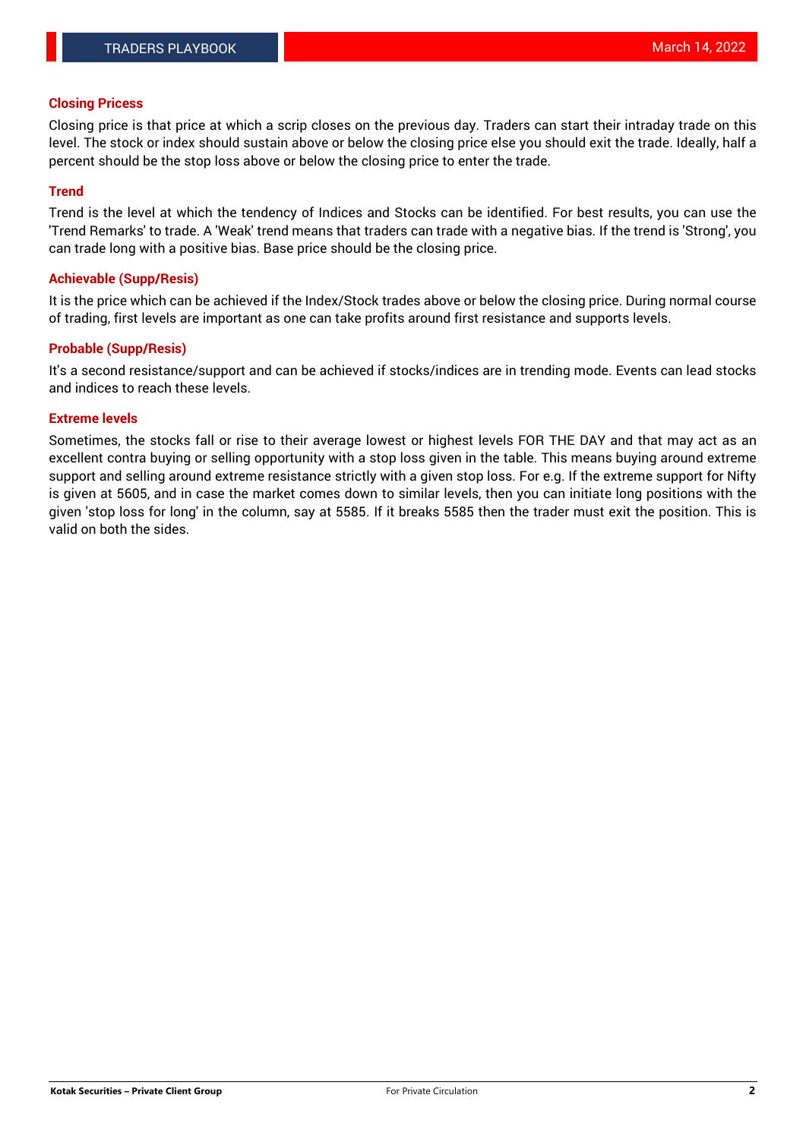## **Closing Pricess**

Closing price is that price at which a scrip closes on the previous day. Traders can start their intraday trade on this level. The stock or index should sustain above or below the closing price else you should exit the trade. Ideally, half a percent should be the stop loss above or below the closing price to enter the trade.

## **Trend**

Trend is the level at which the tendency of Indices and Stocks can be identified. For best results, you can use the 'Trend Remarks' to trade. A 'Weak' trend means that traders can trade with a negative bias. If the trend is 'Strong', you can trade long with a positive bias. Base price should be the closing price.

## **Achievable (Supp/Resis)**

It is the price which can be achieved if the Index/Stock trades above or below the closing price. During normal course of trading, first levels are important as one can take profits around first resistance and supports levels.

## **Probable (Supp/Resis)**

It's a second resistance/support and can be achieved if stocks/indices are in trending mode. Events can lead stocks and indices to reach these levels.

#### **Extreme levels**

Sometimes, the stocks fall or rise to their average lowest or highest levels FOR THE DAY and that may act as an excellent contra buying or selling opportunity with a stop loss given in the table. This means buying around extreme support and selling around extreme resistance strictly with a given stop loss. For e.g. If the extreme support for Nifty is given at 5605, and in case the market comes down to similar levels, then you can initiate long positions with the given 'stop loss for long' in the column, say at 5585. If it breaks 5585 then the trader must exit the position. This is valid on both the sides.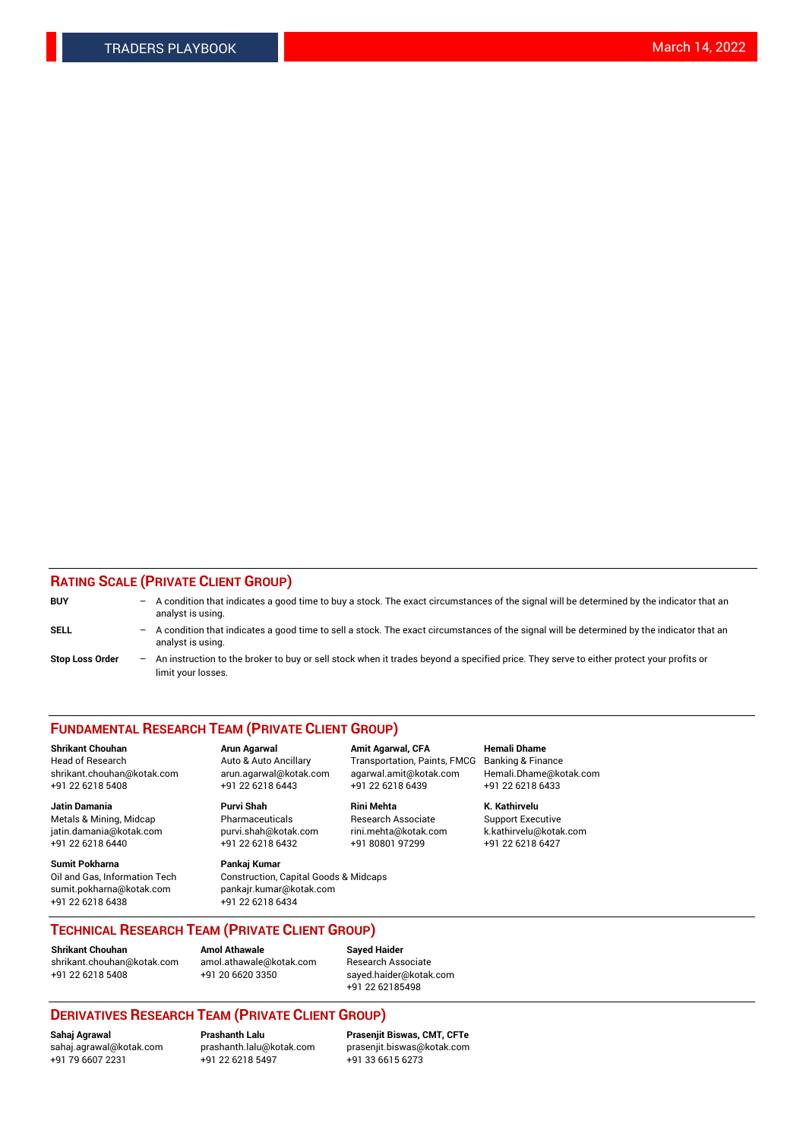## **RATING SCALE (PRIVATE CLIENT GROUP)**

| <b>BUY</b>             | $-$ | A condition that indicates a good time to buy a stock. The exact circumstances of the signal will be determined by the indicator that an<br>analyst is using.    |
|------------------------|-----|------------------------------------------------------------------------------------------------------------------------------------------------------------------|
| <b>SELL</b>            |     | - A condition that indicates a good time to sell a stock. The exact circumstances of the signal will be determined by the indicator that an<br>analyst is using. |
| <b>Stop Loss Order</b> |     | - An instruction to the broker to buy or sell stock when it trades beyond a specified price. They serve to either protect your profits or<br>limit your losses.  |

#### **FUNDAMENTAL RESEARCH TEAM (PRIVATE CLIENT GROUP)**

**Jatin Damania Purvi Shah Rini Mehta K. Kathirvelu** Metals & Mining, Midcap **Pharmaceuticals** Research Associate Support Executive jatin.damania@kotak.com [purvi.shah@kotak.com](mailto:purvi.shah@kotak.com) rini.mehta@kotak.com [k.kathirvelu@kotak.com](mailto:k.kathirvelu@kotak.com)  $+91$  22 6218 6440  $+91$  22 6218 6432

**Sumit Pokharna Pankaj Kumar** sumit.pokharna@kotak.com pankajr.kumar@kotak.com +91 22 6218 6438 +91 22 6218 6434

**Shrikant Chouhan Arun Agarwal Amit Agarwal, CFA Hemali Dhame**

Oil and Gas, Information Tech Construction, Capital Goods & Midcaps

Head of Research Auto & Auto Ancillary Transportation, Paints, FMCG Banking & Finance shrikant.chouhan@kotak.com arun.agarwal@kotak.com agarwal.amit@kotak.com Hemali.Dhame@kotak.com +91 22 6218 5408 +91 22 6218 6443 +91 22 6218 6439 +91 22 6218 6433

**TECHNICAL RESEARCH TEAM (PRIVATE CLIENT GROUP)**

**Shrikant Chouhan Amol Athawale Sayed Haider** [shrikant.chouhan@kotak.com](mailto:shrikant.chouhan@kotak.com) [amol.athawale@kotak.com](mailto:amol.athawale@kotak.com) Research Associate +91 22 6218 5408 +91 20 6620 3350 [sayed.haider@kotak.com](mailto:sayed.haider@kotak.com)

+91 22 62185498

# **DERIVATIVES RESEARCH TEAM (PRIVATE CLIENT GROUP)**

 $+91$  22 6218 5497

**Sahaj Agrawal Prashanth Lalu Prasenjit Biswas, CMT, CFTe** [sahaj.agrawal@kotak.com](mailto:sahaj.agrawal@kotak.com) [prashanth.lalu@kotak.com](mailto:prashanth.lalu@kotak.com) [prasenjit.biswas@kotak.com](mailto:prasenjit.biswas@kotak.com)